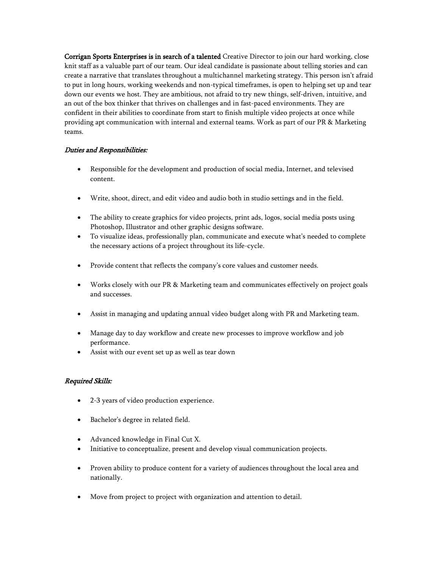Corrigan Sports Enterprises is in search of a talented Creative Director to join our hard working, close knit staff as a valuable part of our team. Our ideal candidate is passionate about telling stories and can create a narrative that translates throughout a multichannel marketing strategy. This person isn't afraid to put in long hours, working weekends and non-typical timeframes, is open to helping set up and tear down our events we host. They are ambitious, not afraid to try new things, self-driven, intuitive, and an out of the box thinker that thrives on challenges and in fast-paced environments. They are confident in their abilities to coordinate from start to finish multiple video projects at once while providing apt communication with internal and external teams. Work as part of our PR & Marketing teams.

## Duties and Responsibilities:

- Responsible for the development and production of social media, Internet, and televised content.
- Write, shoot, direct, and edit video and audio both in studio settings and in the field.
- The ability to create graphics for video projects, print ads, logos, social media posts using Photoshop, Illustrator and other graphic designs software.
- To visualize ideas, professionally plan, communicate and execute what's needed to complete the necessary actions of a project throughout its life-cycle.
- Provide content that reflects the company's core values and customer needs.
- Works closely with our PR & Marketing team and communicates effectively on project goals and successes.
- Assist in managing and updating annual video budget along with PR and Marketing team.
- Manage day to day workflow and create new processes to improve workflow and job performance.
- Assist with our event set up as well as tear down

## Required Skills:

- 2-3 years of video production experience.
- Bachelor's degree in related field.
- Advanced knowledge in Final Cut X.
- Initiative to conceptualize, present and develop visual communication projects.
- Proven ability to produce content for a variety of audiences throughout the local area and nationally.
- Move from project to project with organization and attention to detail.